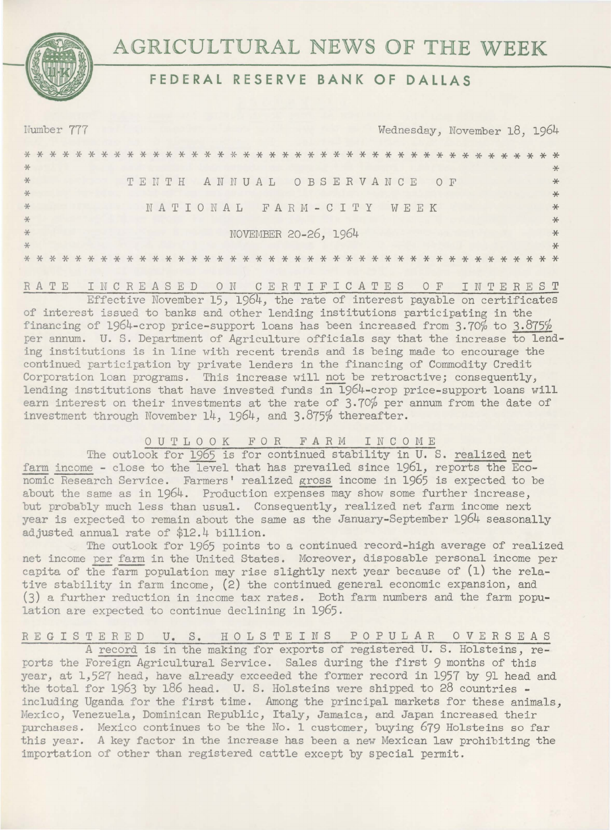



## FEDERAL RESERVE BANK OF DALLAS

|            |  | Number 777 |              |  |  |       |  |  |  |  |  |                      |  |  |  |  |      | Wednesday, November 18, 1964 |  |  |  |          |               |
|------------|--|------------|--------------|--|--|-------|--|--|--|--|--|----------------------|--|--|--|--|------|------------------------------|--|--|--|----------|---------------|
|            |  |            |              |  |  |       |  |  |  |  |  |                      |  |  |  |  |      |                              |  |  |  | $* *$    |               |
| $*$<br>$*$ |  |            |              |  |  | TENTH |  |  |  |  |  | ANNUAL OBSERVANCE    |  |  |  |  | 0 F  |                              |  |  |  |          | $\ast$<br>$*$ |
| $*$        |  |            |              |  |  |       |  |  |  |  |  |                      |  |  |  |  |      |                              |  |  |  |          | $*$           |
| $*$        |  |            |              |  |  |       |  |  |  |  |  | NATIONAL FARM-CITY   |  |  |  |  | WEEK |                              |  |  |  |          | $*$           |
| $*$<br>$*$ |  |            |              |  |  |       |  |  |  |  |  | NOVEMBER 20-26, 1964 |  |  |  |  |      |                              |  |  |  |          | $*$<br>$\ast$ |
| *          |  |            |              |  |  |       |  |  |  |  |  |                      |  |  |  |  |      |                              |  |  |  |          | $\ast$        |
|            |  |            |              |  |  |       |  |  |  |  |  |                      |  |  |  |  |      |                              |  |  |  |          |               |
|            |  | RATE       | TMCREASED ON |  |  |       |  |  |  |  |  | CERTTETCATES OF      |  |  |  |  |      |                              |  |  |  | TNTEREST |               |

Effective November 15, 1964, the rate of interest payable on certificates of interest issued to banks and other lending institutions participating in the financing of 1964-crop price-support loans has been increased from  $3.70\%$  to  $3.875\%$ per annum. U. S. Department of Agriculture officials say that the increase to lending institutions is in line with recent trends and is being made to encourage the continued participation by private lenders in the financing of Commodity Credit Corporation loan programs. This increase will not be retroactive; consequently, lending institutions that have invested funds in 1964-crop price-support loans will earn interest on their investments at the rate of 3.70% per annum from the date of investment through November 14, 1964, and 3.875% thereafter.

### OUTLOOK FOR FARM INCOME

The outlook for 1965 is for continued stability in U.S. realized net farm income - close to the level that has prevailed since 1961, reports the Economic Research Service. Farmers' realized gross income in 1965 is expected to be about the same as in 1964. Production expenses may show some further increase, but probably much less than usual. Consequently, realized net farm income next year is expected to remain about the same as the January-September 1964 seasonally adjusted annual rate of \$12.4 billion.

The outlook for 1965 points to a continued record-high average of realized net income per farm in the United States. Moreover, disposable personal income per capita of the farm population may rise slightly next year because of (1) the relative stability in farm income, (2) the continued general economic expansion, and (3) a further reduction in income tax rates. Both farm numbers and the farm population are expected to continue declining in 1965.

# REGISTERED U. S. HOLSTEINS POPULAR OVERSEAS<br>A record is in the making for exports of registered U.S. Holsteins, re-

ports the Foreign Agricultural Service. Sales during the first 9 months of this year, at 1,527 head, have already exceeded the former record in 1957 by 91 head and the total for 1963 by 186 head. U. S. Holsteins were shipped to 28 countries including Uganda for the first time. Among the principal markets for these animals, Mexico, Venezuela, Dominican Republic, Italy, Jamaica, and Japan increased their purchases. Mexico continues to be the No. 1 customer, buying 679 Holsteins so far this year. A key factor in the increase has been a new Mexican law prohibiting the importation of other than registered cattle except by special permit.